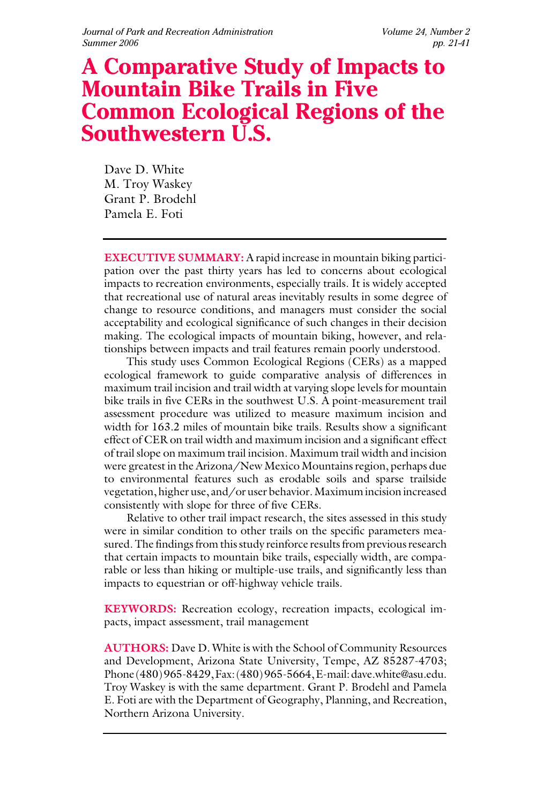# **A Comparative Study of Impacts to Mountain Bike Trails in Five Common Ecological Regions of the Southwestern U.S.**

Dave D. White M. Troy Waskey Grant P. Brodehl Pamela E. Foti

**EXECUTIVE SUMMARY:** A rapid increase in mountain biking participation over the past thirty years has led to concerns about ecological impacts to recreation environments, especially trails. It is widely accepted that recreational use of natural areas inevitably results in some degree of change to resource conditions, and managers must consider the social acceptability and ecological significance of such changes in their decision making. The ecological impacts of mountain biking, however, and relationships between impacts and trail features remain poorly understood.

This study uses Common Ecological Regions (CERs) as a mapped ecological framework to guide comparative analysis of differences in maximum trail incision and trail width at varying slope levels for mountain bike trails in five CERs in the southwest U.S. A point-measurement trail assessment procedure was utilized to measure maximum incision and width for 163.2 miles of mountain bike trails. Results show a significant effect of CER on trail width and maximum incision and a significant effect of trail slope on maximum trail incision. Maximum trail width and incision were greatest in the Arizona/New Mexico Mountains region, perhaps due to environmental features such as erodable soils and sparse trailside vegetation, higher use, and/or user behavior. Maximum incision increased consistently with slope for three of five CERs.

Relative to other trail impact research, the sites assessed in this study were in similar condition to other trails on the specific parameters measured. The findings from this study reinforce results from previous research that certain impacts to mountain bike trails, especially width, are comparable or less than hiking or multiple-use trails, and significantly less than impacts to equestrian or off-highway vehicle trails.

**KEYWORDS:** Recreation ecology, recreation impacts, ecological impacts, impact assessment, trail management

**AUTHORS:** Dave D. White is with the School of Community Resources and Development, Arizona State University, Tempe, AZ 85287-4703; Phone (480) 965-8429, Fax: (480) 965-5664, E-mail: dave.white@asu.edu. Troy Waskey is with the same department. Grant P. Brodehl and Pamela E. Foti are with the Department of Geography, Planning, and Recreation, Northern Arizona University.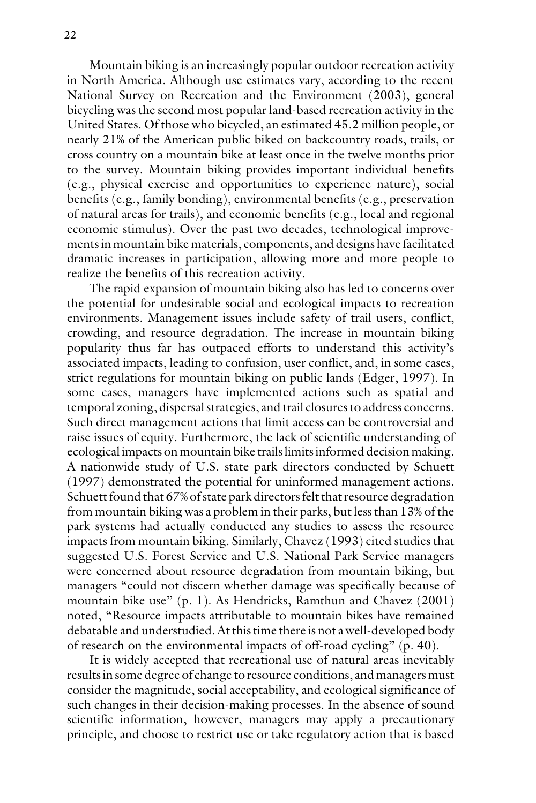Mountain biking is an increasingly popular outdoor recreation activity in North America. Although use estimates vary, according to the recent National Survey on Recreation and the Environment (2003), general bicycling was the second most popular land-based recreation activity in the United States. Of those who bicycled, an estimated 45.2 million people, or nearly 21% of the American public biked on backcountry roads, trails, or cross country on a mountain bike at least once in the twelve months prior to the survey. Mountain biking provides important individual benefits (e.g., physical exercise and opportunities to experience nature), social benefits (e.g., family bonding), environmental benefits (e.g., preservation of natural areas for trails), and economic benefits (e.g., local and regional economic stimulus). Over the past two decades, technological improvements in mountain bike materials, components, and designs have facilitated dramatic increases in participation, allowing more and more people to realize the benefits of this recreation activity.

The rapid expansion of mountain biking also has led to concerns over the potential for undesirable social and ecological impacts to recreation environments. Management issues include safety of trail users, conflict, crowding, and resource degradation. The increase in mountain biking popularity thus far has outpaced efforts to understand this activity's associated impacts, leading to confusion, user conflict, and, in some cases, strict regulations for mountain biking on public lands (Edger, 1997). In some cases, managers have implemented actions such as spatial and temporal zoning, dispersal strategies, and trail closures to address concerns. Such direct management actions that limit access can be controversial and raise issues of equity. Furthermore, the lack of scientific understanding of ecological impacts on mountain bike trails limits informed decision making. A nationwide study of U.S. state park directors conducted by Schuett (1997) demonstrated the potential for uninformed management actions. Schuett found that 67% of state park directors felt that resource degradation from mountain biking was a problem in their parks, but less than 13% of the park systems had actually conducted any studies to assess the resource impacts from mountain biking. Similarly, Chavez (1993) cited studies that suggested U.S. Forest Service and U.S. National Park Service managers were concerned about resource degradation from mountain biking, but managers "could not discern whether damage was specifically because of mountain bike use" (p. 1). As Hendricks, Ramthun and Chavez (2001) noted, "Resource impacts attributable to mountain bikes have remained debatable and understudied. At this time there is not a well-developed body of research on the environmental impacts of off-road cycling" (p. 40).

It is widely accepted that recreational use of natural areas inevitably results in some degree of change to resource conditions, and managers must consider the magnitude, social acceptability, and ecological significance of such changes in their decision-making processes. In the absence of sound scientific information, however, managers may apply a precautionary principle, and choose to restrict use or take regulatory action that is based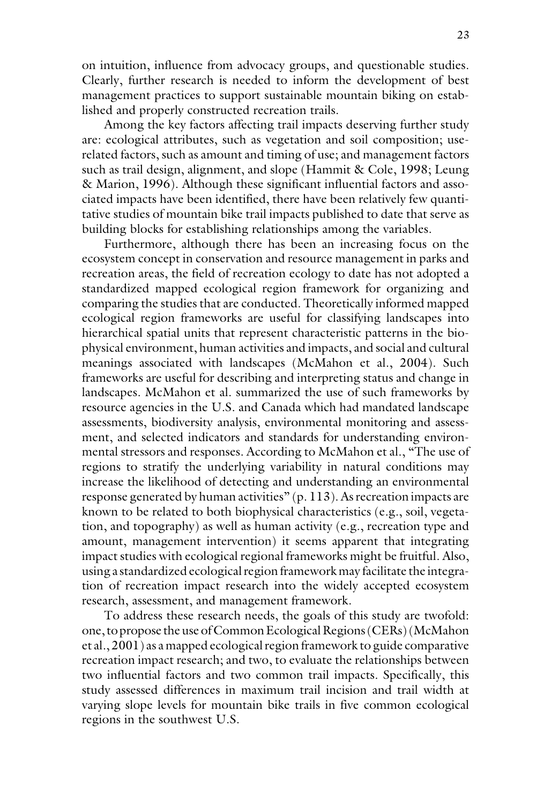on intuition, influence from advocacy groups, and questionable studies. Clearly, further research is needed to inform the development of best management practices to support sustainable mountain biking on established and properly constructed recreation trails.

Among the key factors affecting trail impacts deserving further study are: ecological attributes, such as vegetation and soil composition; userelated factors, such as amount and timing of use; and management factors such as trail design, alignment, and slope (Hammit & Cole, 1998; Leung & Marion, 1996). Although these significant influential factors and associated impacts have been identified, there have been relatively few quantitative studies of mountain bike trail impacts published to date that serve as building blocks for establishing relationships among the variables.

Furthermore, although there has been an increasing focus on the ecosystem concept in conservation and resource management in parks and recreation areas, the field of recreation ecology to date has not adopted a standardized mapped ecological region framework for organizing and comparing the studies that are conducted. Theoretically informed mapped ecological region frameworks are useful for classifying landscapes into hierarchical spatial units that represent characteristic patterns in the biophysical environment, human activities and impacts, and social and cultural meanings associated with landscapes (McMahon et al., 2004). Such frameworks are useful for describing and interpreting status and change in landscapes. McMahon et al. summarized the use of such frameworks by resource agencies in the U.S. and Canada which had mandated landscape assessments, biodiversity analysis, environmental monitoring and assessment, and selected indicators and standards for understanding environmental stressors and responses. According to McMahon et al., "The use of regions to stratify the underlying variability in natural conditions may increase the likelihood of detecting and understanding an environmental response generated by human activities" (p. 113). As recreation impacts are known to be related to both biophysical characteristics (e.g., soil, vegetation, and topography) as well as human activity (e.g., recreation type and amount, management intervention) it seems apparent that integrating impact studies with ecological regional frameworks might be fruitful. Also, using a standardized ecological region framework may facilitate the integration of recreation impact research into the widely accepted ecosystem research, assessment, and management framework.

To address these research needs, the goals of this study are twofold: one, to propose the use of Common Ecological Regions (CERs) (McMahon et al., 2001) as a mapped ecological region framework to guide comparative recreation impact research; and two, to evaluate the relationships between two influential factors and two common trail impacts. Specifically, this study assessed differences in maximum trail incision and trail width at varying slope levels for mountain bike trails in five common ecological regions in the southwest U.S.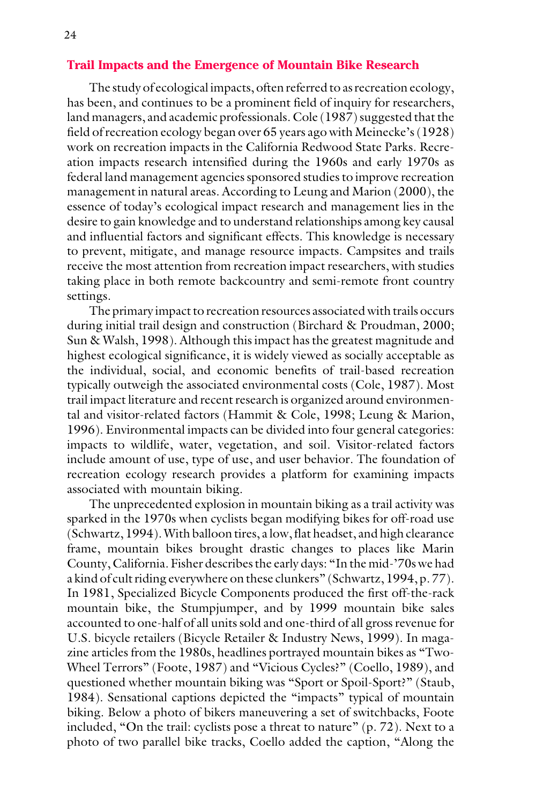#### **Trail Impacts and the Emergence of Mountain Bike Research**

The study of ecological impacts, often referred to as recreation ecology, has been, and continues to be a prominent field of inquiry for researchers, land managers, and academic professionals. Cole (1987) suggested that the field of recreation ecology began over 65 years ago with Meinecke's (1928) work on recreation impacts in the California Redwood State Parks. Recreation impacts research intensified during the 1960s and early 1970s as federal land management agencies sponsored studies to improve recreation management in natural areas. According to Leung and Marion (2000), the essence of today's ecological impact research and management lies in the desire to gain knowledge and to understand relationships among key causal and influential factors and significant effects. This knowledge is necessary to prevent, mitigate, and manage resource impacts. Campsites and trails receive the most attention from recreation impact researchers, with studies taking place in both remote backcountry and semi-remote front country settings.

The primary impact to recreation resources associated with trails occurs during initial trail design and construction (Birchard & Proudman, 2000; Sun & Walsh, 1998). Although this impact has the greatest magnitude and highest ecological significance, it is widely viewed as socially acceptable as the individual, social, and economic benefits of trail-based recreation typically outweigh the associated environmental costs (Cole, 1987). Most trail impact literature and recent research is organized around environmental and visitor-related factors (Hammit & Cole, 1998; Leung & Marion, 1996). Environmental impacts can be divided into four general categories: impacts to wildlife, water, vegetation, and soil. Visitor-related factors include amount of use, type of use, and user behavior. The foundation of recreation ecology research provides a platform for examining impacts associated with mountain biking.

The unprecedented explosion in mountain biking as a trail activity was sparked in the 1970s when cyclists began modifying bikes for off-road use (Schwartz, 1994). With balloon tires, a low, flat headset, and high clearance frame, mountain bikes brought drastic changes to places like Marin County, California. Fisher describes the early days: "In the mid-'70s we had a kind of cult riding everywhere on these clunkers" (Schwartz, 1994, p. 77). In 1981, Specialized Bicycle Components produced the first off-the-rack mountain bike, the Stumpjumper, and by 1999 mountain bike sales accounted to one-half of all units sold and one-third of all gross revenue for U.S. bicycle retailers (Bicycle Retailer & Industry News, 1999). In magazine articles from the 1980s, headlines portrayed mountain bikes as "Two-Wheel Terrors" (Foote, 1987) and "Vicious Cycles?" (Coello, 1989), and questioned whether mountain biking was "Sport or Spoil-Sport?" (Staub, 1984). Sensational captions depicted the "impacts" typical of mountain biking. Below a photo of bikers maneuvering a set of switchbacks, Foote included, "On the trail: cyclists pose a threat to nature" (p. 72). Next to a photo of two parallel bike tracks, Coello added the caption, "Along the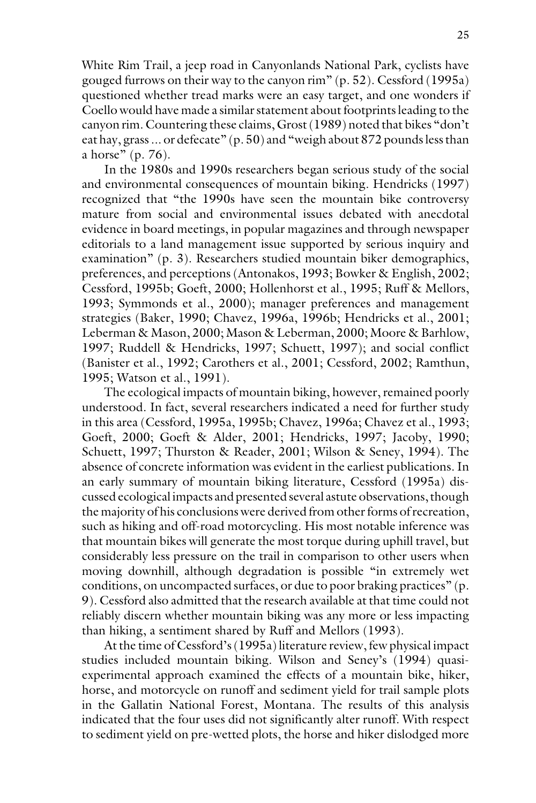White Rim Trail, a jeep road in Canyonlands National Park, cyclists have gouged furrows on their way to the canyon rim" (p. 52). Cessford (1995a) questioned whether tread marks were an easy target, and one wonders if Coello would have made a similar statement about footprints leading to the canyon rim. Countering these claims, Grost (1989) noted that bikes "don't eat hay, grass ... or defecate" (p. 50) and "weigh about 872 pounds less than a horse" (p. 76).

In the 1980s and 1990s researchers began serious study of the social and environmental consequences of mountain biking. Hendricks (1997) recognized that "the 1990s have seen the mountain bike controversy mature from social and environmental issues debated with anecdotal evidence in board meetings, in popular magazines and through newspaper editorials to a land management issue supported by serious inquiry and examination" (p. 3). Researchers studied mountain biker demographics, preferences, and perceptions (Antonakos, 1993; Bowker & English, 2002; Cessford, 1995b; Goeft, 2000; Hollenhorst et al., 1995; Ruff & Mellors, 1993; Symmonds et al., 2000); manager preferences and management strategies (Baker, 1990; Chavez, 1996a, 1996b; Hendricks et al., 2001; Leberman & Mason, 2000; Mason & Leberman, 2000; Moore & Barhlow, 1997; Ruddell & Hendricks, 1997; Schuett, 1997); and social conflict (Banister et al., 1992; Carothers et al., 2001; Cessford, 2002; Ramthun, 1995; Watson et al., 1991).

The ecological impacts of mountain biking, however, remained poorly understood. In fact, several researchers indicated a need for further study in this area (Cessford, 1995a, 1995b; Chavez, 1996a; Chavez et al., 1993; Goeft, 2000; Goeft & Alder, 2001; Hendricks, 1997; Jacoby, 1990; Schuett, 1997; Thurston & Reader, 2001; Wilson & Seney, 1994). The absence of concrete information was evident in the earliest publications. In an early summary of mountain biking literature, Cessford (1995a) discussed ecological impacts and presented several astute observations, though the majority of his conclusions were derived from other forms of recreation, such as hiking and off-road motorcycling. His most notable inference was that mountain bikes will generate the most torque during uphill travel, but considerably less pressure on the trail in comparison to other users when moving downhill, although degradation is possible "in extremely wet conditions, on uncompacted surfaces, or due to poor braking practices" (p. 9). Cessford also admitted that the research available at that time could not reliably discern whether mountain biking was any more or less impacting than hiking, a sentiment shared by Ruff and Mellors (1993).

At the time of Cessford's (1995a) literature review, few physical impact studies included mountain biking. Wilson and Seney's (1994) quasiexperimental approach examined the effects of a mountain bike, hiker, horse, and motorcycle on runoff and sediment yield for trail sample plots in the Gallatin National Forest, Montana. The results of this analysis indicated that the four uses did not significantly alter runoff. With respect to sediment yield on pre-wetted plots, the horse and hiker dislodged more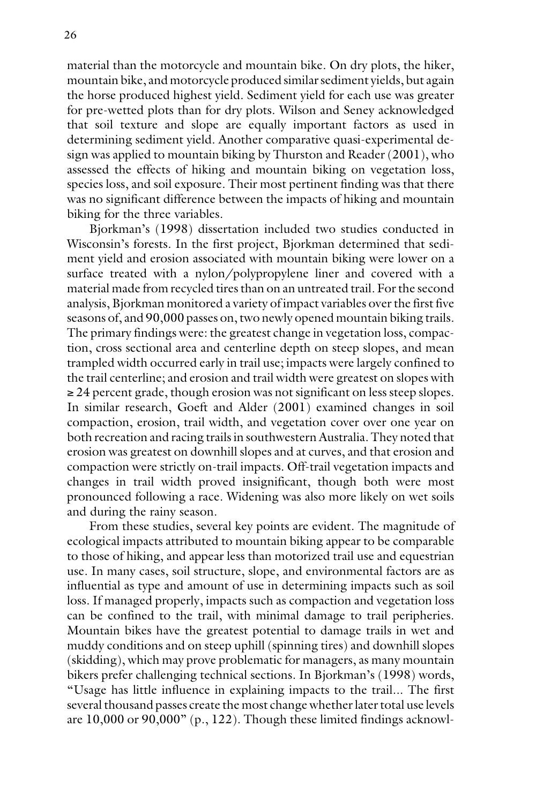material than the motorcycle and mountain bike. On dry plots, the hiker, mountain bike, and motorcycle produced similar sediment yields, but again the horse produced highest yield. Sediment yield for each use was greater for pre-wetted plots than for dry plots. Wilson and Seney acknowledged that soil texture and slope are equally important factors as used in determining sediment yield. Another comparative quasi-experimental design was applied to mountain biking by Thurston and Reader (2001), who assessed the effects of hiking and mountain biking on vegetation loss, species loss, and soil exposure. Their most pertinent finding was that there was no significant difference between the impacts of hiking and mountain biking for the three variables.

Bjorkman's (1998) dissertation included two studies conducted in Wisconsin's forests. In the first project, Bjorkman determined that sediment yield and erosion associated with mountain biking were lower on a surface treated with a nylon/polypropylene liner and covered with a material made from recycled tires than on an untreated trail. For the second analysis, Bjorkman monitored a variety of impact variables over the first five seasons of, and 90,000 passes on, two newly opened mountain biking trails. The primary findings were: the greatest change in vegetation loss, compaction, cross sectional area and centerline depth on steep slopes, and mean trampled width occurred early in trail use; impacts were largely confined to the trail centerline; and erosion and trail width were greatest on slopes with ≥ 24 percent grade, though erosion was not significant on less steep slopes. In similar research, Goeft and Alder (2001) examined changes in soil compaction, erosion, trail width, and vegetation cover over one year on both recreation and racing trails in southwestern Australia. They noted that erosion was greatest on downhill slopes and at curves, and that erosion and compaction were strictly on-trail impacts. Off-trail vegetation impacts and changes in trail width proved insignificant, though both were most pronounced following a race. Widening was also more likely on wet soils and during the rainy season.

From these studies, several key points are evident. The magnitude of ecological impacts attributed to mountain biking appear to be comparable to those of hiking, and appear less than motorized trail use and equestrian use. In many cases, soil structure, slope, and environmental factors are as influential as type and amount of use in determining impacts such as soil loss. If managed properly, impacts such as compaction and vegetation loss can be confined to the trail, with minimal damage to trail peripheries. Mountain bikes have the greatest potential to damage trails in wet and muddy conditions and on steep uphill (spinning tires) and downhill slopes (skidding), which may prove problematic for managers, as many mountain bikers prefer challenging technical sections. In Bjorkman's (1998) words, "Usage has little influence in explaining impacts to the trail... The first several thousand passes create the most change whether later total use levels are 10,000 or 90,000" (p., 122). Though these limited findings acknowl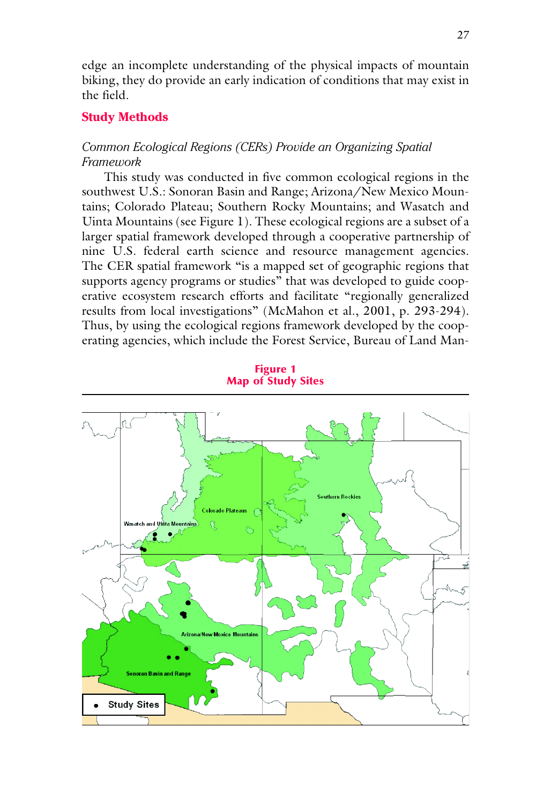edge an incomplete understanding of the physical impacts of mountain biking, they do provide an early indication of conditions that may exist in the field.

## **Study Methods**

## *Common Ecological Regions (CERs) Provide an Organizing Spatial Framework*

This study was conducted in five common ecological regions in the southwest U.S.: Sonoran Basin and Range; Arizona/New Mexico Mountains; Colorado Plateau; Southern Rocky Mountains; and Wasatch and Uinta Mountains (see Figure 1). These ecological regions are a subset of a larger spatial framework developed through a cooperative partnership of nine U.S. federal earth science and resource management agencies. The CER spatial framework "is a mapped set of geographic regions that supports agency programs or studies" that was developed to guide cooperative ecosystem research efforts and facilitate "regionally generalized results from local investigations" (McMahon et al., 2001, p. 293-294). Thus, by using the ecological regions framework developed by the cooperating agencies, which include the Forest Service, Bureau of Land Man-



Figure 1 Map of Study Sites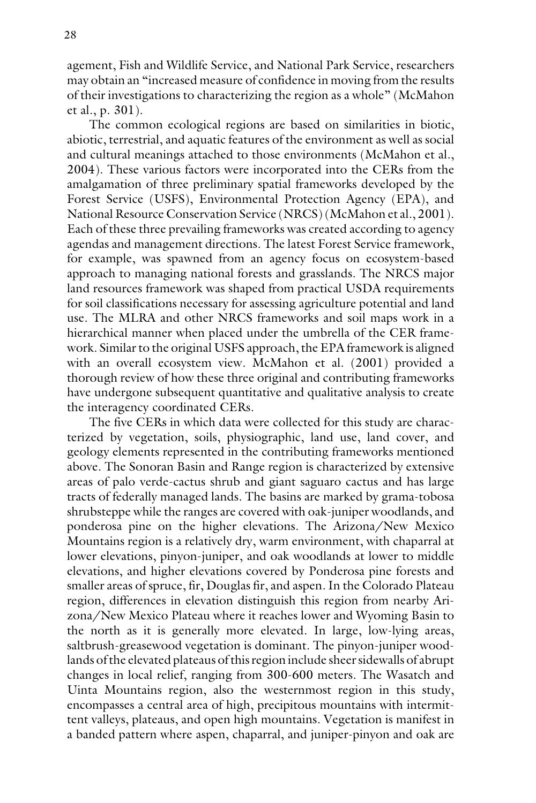agement, Fish and Wildlife Service, and National Park Service, researchers may obtain an "increased measure of confidence in moving from the results of their investigations to characterizing the region as a whole" (McMahon et al., p. 301).

The common ecological regions are based on similarities in biotic, abiotic, terrestrial, and aquatic features of the environment as well as social and cultural meanings attached to those environments (McMahon et al., 2004). These various factors were incorporated into the CERs from the amalgamation of three preliminary spatial frameworks developed by the Forest Service (USFS), Environmental Protection Agency (EPA), and National Resource Conservation Service (NRCS) (McMahon et al., 2001). Each of these three prevailing frameworks was created according to agency agendas and management directions. The latest Forest Service framework, for example, was spawned from an agency focus on ecosystem-based approach to managing national forests and grasslands. The NRCS major land resources framework was shaped from practical USDA requirements for soil classifications necessary for assessing agriculture potential and land use. The MLRA and other NRCS frameworks and soil maps work in a hierarchical manner when placed under the umbrella of the CER framework. Similar to the original USFS approach, the EPA framework is aligned with an overall ecosystem view. McMahon et al. (2001) provided a thorough review of how these three original and contributing frameworks have undergone subsequent quantitative and qualitative analysis to create the interagency coordinated CERs.

The five CERs in which data were collected for this study are characterized by vegetation, soils, physiographic, land use, land cover, and geology elements represented in the contributing frameworks mentioned above. The Sonoran Basin and Range region is characterized by extensive areas of palo verde-cactus shrub and giant saguaro cactus and has large tracts of federally managed lands. The basins are marked by grama-tobosa shrubsteppe while the ranges are covered with oak-juniper woodlands, and ponderosa pine on the higher elevations. The Arizona/New Mexico Mountains region is a relatively dry, warm environment, with chaparral at lower elevations, pinyon-juniper, and oak woodlands at lower to middle elevations, and higher elevations covered by Ponderosa pine forests and smaller areas of spruce, fir, Douglas fir, and aspen. In the Colorado Plateau region, differences in elevation distinguish this region from nearby Arizona/New Mexico Plateau where it reaches lower and Wyoming Basin to the north as it is generally more elevated. In large, low-lying areas, saltbrush-greasewood vegetation is dominant. The pinyon-juniper woodlands of the elevated plateaus of this region include sheer sidewalls of abrupt changes in local relief, ranging from 300-600 meters. The Wasatch and Uinta Mountains region, also the westernmost region in this study, encompasses a central area of high, precipitous mountains with intermittent valleys, plateaus, and open high mountains. Vegetation is manifest in a banded pattern where aspen, chaparral, and juniper-pinyon and oak are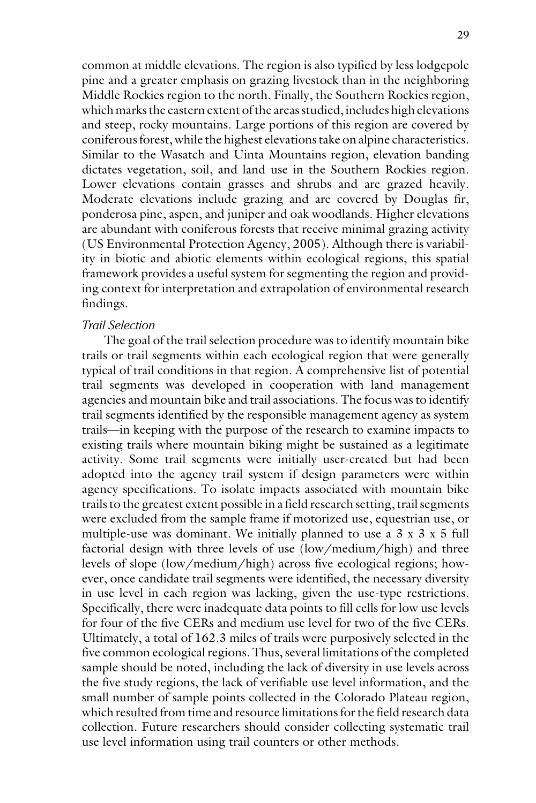common at middle elevations. The region is also typified by less lodgepole pine and a greater emphasis on grazing livestock than in the neighboring Middle Rockies region to the north. Finally, the Southern Rockies region, which marks the eastern extent of the areas studied, includes high elevations and steep, rocky mountains. Large portions of this region are covered by coniferous forest, while the highest elevations take on alpine characteristics. Similar to the Wasatch and Uinta Mountains region, elevation banding dictates vegetation, soil, and land use in the Southern Rockies region. Lower elevations contain grasses and shrubs and are grazed heavily. Moderate elevations include grazing and are covered by Douglas fir, ponderosa pine, aspen, and juniper and oak woodlands. Higher elevations are abundant with coniferous forests that receive minimal grazing activity (US Environmental Protection Agency, 2005). Although there is variability in biotic and abiotic elements within ecological regions, this spatial framework provides a useful system for segmenting the region and providing context for interpretation and extrapolation of environmental research findings.

### *Trail Selection*

The goal of the trail selection procedure was to identify mountain bike trails or trail segments within each ecological region that were generally typical of trail conditions in that region. A comprehensive list of potential trail segments was developed in cooperation with land management agencies and mountain bike and trail associations. The focus was to identify trail segments identified by the responsible management agency as system trails—in keeping with the purpose of the research to examine impacts to existing trails where mountain biking might be sustained as a legitimate activity. Some trail segments were initially user-created but had been adopted into the agency trail system if design parameters were within agency specifications. To isolate impacts associated with mountain bike trails to the greatest extent possible in a field research setting, trail segments were excluded from the sample frame if motorized use, equestrian use, or multiple-use was dominant. We initially planned to use a 3 x 3 x 5 full factorial design with three levels of use (low/medium/high) and three levels of slope (low/medium/high) across five ecological regions; however, once candidate trail segments were identified, the necessary diversity in use level in each region was lacking, given the use-type restrictions. Specifically, there were inadequate data points to fill cells for low use levels for four of the five CERs and medium use level for two of the five CERs. Ultimately, a total of 162.3 miles of trails were purposively selected in the five common ecological regions. Thus, several limitations of the completed sample should be noted, including the lack of diversity in use levels across the five study regions, the lack of verifiable use level information, and the small number of sample points collected in the Colorado Plateau region, which resulted from time and resource limitations for the field research data collection. Future researchers should consider collecting systematic trail use level information using trail counters or other methods.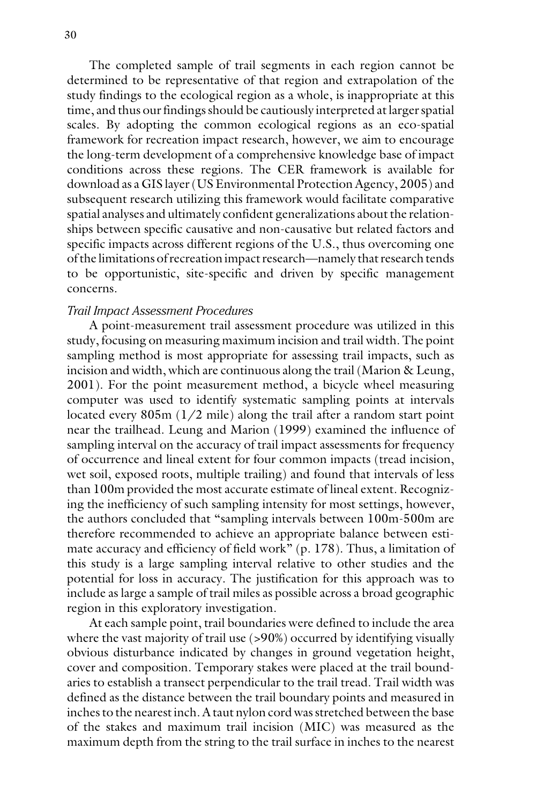The completed sample of trail segments in each region cannot be determined to be representative of that region and extrapolation of the study findings to the ecological region as a whole, is inappropriate at this time, and thus our findings should be cautiously interpreted at larger spatial scales. By adopting the common ecological regions as an eco-spatial framework for recreation impact research, however, we aim to encourage the long-term development of a comprehensive knowledge base of impact conditions across these regions. The CER framework is available for download as a GIS layer (US Environmental Protection Agency, 2005) and subsequent research utilizing this framework would facilitate comparative spatial analyses and ultimately confident generalizations about the relationships between specific causative and non-causative but related factors and specific impacts across different regions of the U.S., thus overcoming one of the limitations of recreation impact research—namely that research tends to be opportunistic, site-specific and driven by specific management concerns.

#### *Trail Impact Assessment Procedures*

A point-measurement trail assessment procedure was utilized in this study, focusing on measuring maximum incision and trail width. The point sampling method is most appropriate for assessing trail impacts, such as incision and width, which are continuous along the trail (Marion & Leung, 2001). For the point measurement method, a bicycle wheel measuring computer was used to identify systematic sampling points at intervals located every 805m (1/2 mile) along the trail after a random start point near the trailhead. Leung and Marion (1999) examined the influence of sampling interval on the accuracy of trail impact assessments for frequency of occurrence and lineal extent for four common impacts (tread incision, wet soil, exposed roots, multiple trailing) and found that intervals of less than 100m provided the most accurate estimate of lineal extent. Recognizing the inefficiency of such sampling intensity for most settings, however, the authors concluded that "sampling intervals between 100m-500m are therefore recommended to achieve an appropriate balance between estimate accuracy and efficiency of field work" (p. 178). Thus, a limitation of this study is a large sampling interval relative to other studies and the potential for loss in accuracy. The justification for this approach was to include as large a sample of trail miles as possible across a broad geographic region in this exploratory investigation.

At each sample point, trail boundaries were defined to include the area where the vast majority of trail use (>90%) occurred by identifying visually obvious disturbance indicated by changes in ground vegetation height, cover and composition. Temporary stakes were placed at the trail boundaries to establish a transect perpendicular to the trail tread. Trail width was defined as the distance between the trail boundary points and measured in inches to the nearest inch. A taut nylon cord was stretched between the base of the stakes and maximum trail incision (MIC) was measured as the maximum depth from the string to the trail surface in inches to the nearest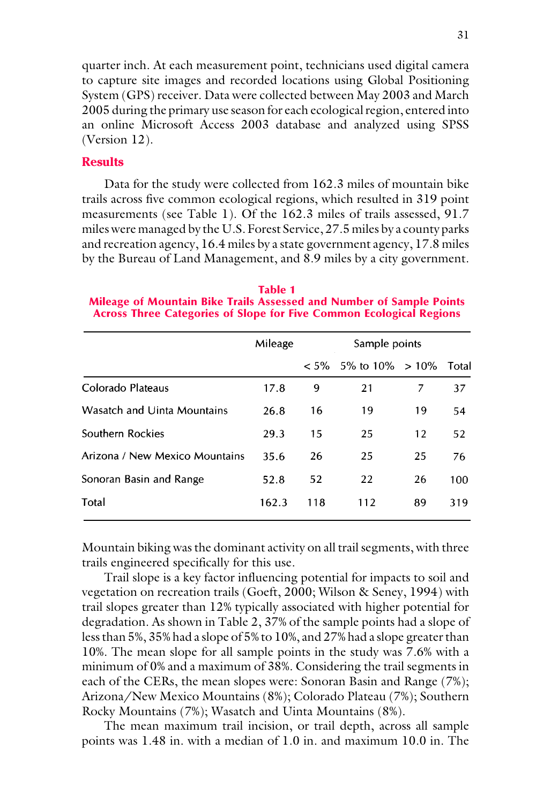quarter inch. At each measurement point, technicians used digital camera to capture site images and recorded locations using Global Positioning System (GPS) receiver. Data were collected between May 2003 and March 2005 during the primary use season for each ecological region, entered into an online Microsoft Access 2003 database and analyzed using SPSS (Version 12).

### **Results**

Data for the study were collected from 162.3 miles of mountain bike trails across five common ecological regions, which resulted in 319 point measurements (see Table 1). Of the 162.3 miles of trails assessed, 91.7 miles were managed by the U.S. Forest Service, 27.5 miles by a county parks and recreation agency, 16.4 miles by a state government agency, 17.8 miles by the Bureau of Land Management, and 8.9 miles by a city government.

Table 1 Mileage of Mountain Bike Trails Assessed and Number of Sample Points Across Three Categories of Slope for Five Common Ecological Regions

|                                | Mileage | Sample points |                    |    |       |
|--------------------------------|---------|---------------|--------------------|----|-------|
|                                |         | $< 5\%$       | 5\% to 10\% > 10\% |    | Total |
| Colorado Plateaus              | 17.8    | 9             | 21                 |    | 37    |
| Wasatch and Uinta Mountains    | 26.8    | 16            | 19                 | 19 | 54    |
| Southern Rockies               | 29.3    | 15            | 25                 | 12 | 52    |
| Arizona / New Mexico Mountains | 35.6    | 26            | 25                 | 25 | 76    |
| Sonoran Basin and Range        | 52.8    | 52            | 22                 | 26 | 100   |
| Total                          | 162.3   | 118           | 112                | 89 | 319   |
|                                |         |               |                    |    |       |

Mountain biking was the dominant activity on all trail segments, with three trails engineered specifically for this use.

Trail slope is a key factor influencing potential for impacts to soil and vegetation on recreation trails (Goeft, 2000; Wilson & Seney, 1994) with trail slopes greater than 12% typically associated with higher potential for degradation. As shown in Table 2, 37% of the sample points had a slope of less than 5%, 35% had a slope of 5% to 10%, and 27% had a slope greater than 10%. The mean slope for all sample points in the study was 7.6% with a minimum of 0% and a maximum of 38%. Considering the trail segments in each of the CERs, the mean slopes were: Sonoran Basin and Range (7%); Arizona/New Mexico Mountains (8%); Colorado Plateau (7%); Southern Rocky Mountains (7%); Wasatch and Uinta Mountains (8%).

The mean maximum trail incision, or trail depth, across all sample points was 1.48 in. with a median of 1.0 in. and maximum 10.0 in. The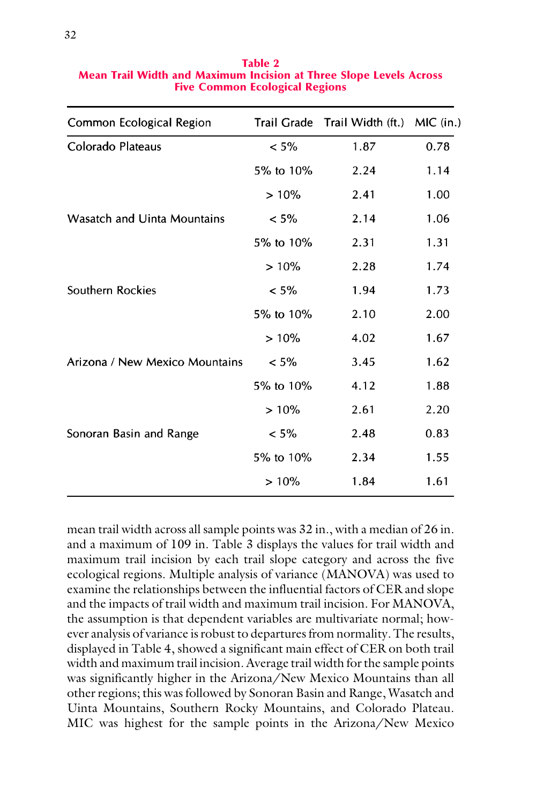| Common Ecological Region       |           | Trail Grade Trail Width (ft.) MIC (in.) |      |
|--------------------------------|-----------|-----------------------------------------|------|
| Colorado Plateaus              | $< 5\%$   | 1.87                                    | 0.78 |
|                                | 5% to 10% | 2.24                                    | 1.14 |
|                                | $>10\%$   | 2.41                                    | 1.00 |
| Wasatch and Uinta Mountains    | $< 5\%$   | 2.14                                    | 1.06 |
|                                | 5% to 10% | 2.31                                    | 1.31 |
|                                | >10%      | 2.28                                    | 1.74 |
| Southern Rockies               | $< 5\%$   | 1.94                                    | 1.73 |
|                                | 5% to 10% | 2.10                                    | 2.00 |
|                                | >10%      | 4.02                                    | 1.67 |
| Arizona / New Mexico Mountains | $< 5\%$   | 3.45                                    | 1.62 |
|                                | 5% to 10% | 4.12                                    | 1.88 |
|                                | $>10\%$   | 2.61                                    | 2.20 |
| Sonoran Basin and Range        | $< 5\%$   | 2.48                                    | 0.83 |
|                                | 5% to 10% | 2.34                                    | 1.55 |
|                                | $>10\%$   | 1.84                                    | 1.61 |

Table 2 Mean Trail Width and Maximum Incision at Three Slope Levels Across Five Common Ecological Regions

mean trail width across all sample points was 32 in., with a median of 26 in. and a maximum of 109 in. Table 3 displays the values for trail width and maximum trail incision by each trail slope category and across the five ecological regions. Multiple analysis of variance (MANOVA) was used to examine the relationships between the influential factors of CER and slope and the impacts of trail width and maximum trail incision. For MANOVA, the assumption is that dependent variables are multivariate normal; however analysis of variance is robust to departures from normality. The results, displayed in Table 4, showed a significant main effect of CER on both trail width and maximum trail incision. Average trail width for the sample points was significantly higher in the Arizona/New Mexico Mountains than all other regions; this was followed by Sonoran Basin and Range, Wasatch and Uinta Mountains, Southern Rocky Mountains, and Colorado Plateau. MIC was highest for the sample points in the Arizona/New Mexico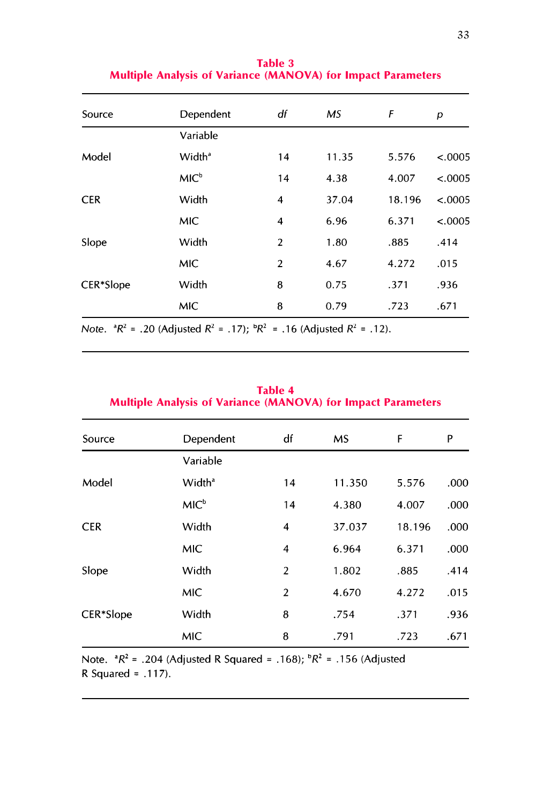| Source     | Dependent          | df             | <b>MS</b> | F      | р       |
|------------|--------------------|----------------|-----------|--------|---------|
|            | Variable           |                |           |        |         |
| Model      | Width <sup>ª</sup> | 14             | 11.35     | 5.576  | < .0005 |
|            | MIC <sup>b</sup>   | 14             | 4.38      | 4.007  | < .0005 |
| <b>CER</b> | Width              | $\overline{4}$ | 37.04     | 18.196 | < .0005 |
|            | <b>MIC</b>         | 4              | 6.96      | 6.371  | < .0005 |
| Slope      | Width              | $\overline{2}$ | 1.80      | .885   | .414    |
|            | <b>MIC</b>         | $\overline{2}$ | 4.67      | 4.272  | .015    |
| CER*Slope  | Width              | 8              | 0.75      | .371   | .936    |
|            | <b>MIC</b>         | 8              | 0.79      | .723   | .671    |

Table 3 Multiple Analysis of Variance (MANOVA) for Impact Parameters

Note.  ${}^{a}R^{2}$  = .20 (Adjusted  $R^{2}$  = .17);  ${}^{b}R^{2}$  = .16 (Adjusted  $R^{2}$  = .12).

| <b>Multiple Analysis of Variance (MANOVA) for Impact Parameters</b> |                    |                |        |        |      |
|---------------------------------------------------------------------|--------------------|----------------|--------|--------|------|
| Source                                                              | Dependent          | df             | MS.    | F      | P    |
|                                                                     | Variable           |                |        |        |      |
| Model                                                               | Width <sup>a</sup> | 14             | 11.350 | 5.576  | .000 |
|                                                                     | MIC <sup>b</sup>   | 14             | 4.380  | 4.007  | .000 |
| <b>CER</b>                                                          | Width              | 4              | 37.037 | 18.196 | .000 |
|                                                                     | <b>MIC</b>         | 4              | 6.964  | 6.371  | .000 |
| Slope                                                               | Width              | $\overline{2}$ | 1.802  | .885   | .414 |
|                                                                     | <b>MIC</b>         | $\overline{2}$ | 4.670  | 4.272  | .015 |
| CER*Slope<br>MIC                                                    | Width              | 8              | .754   | .371   | .936 |
|                                                                     |                    | 8              | .791   | .723   | .671 |

Table 4

Note.  ${}^{a}R^{2}$  = .204 (Adjusted R Squared = .168);  ${}^{b}R^{2}$  = .156 (Adjusted R Squared =  $.117$ ).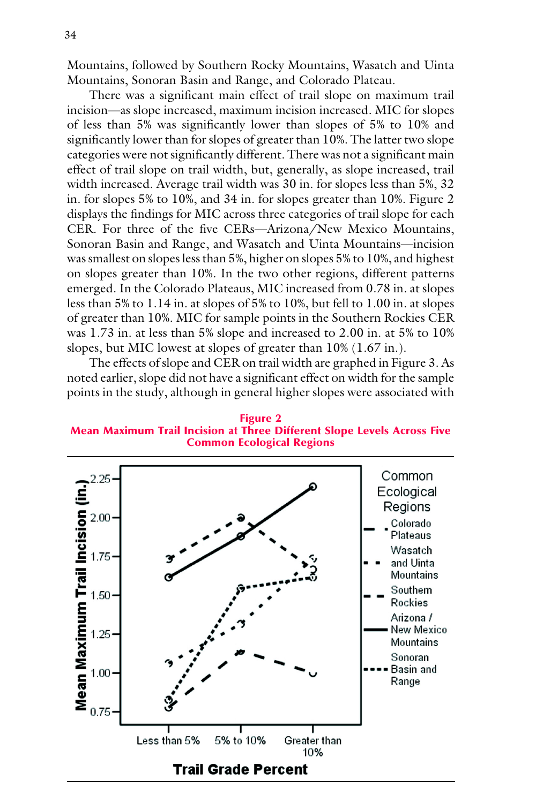Mountains, followed by Southern Rocky Mountains, Wasatch and Uinta Mountains, Sonoran Basin and Range, and Colorado Plateau.

There was a significant main effect of trail slope on maximum trail incision—as slope increased, maximum incision increased. MIC for slopes of less than 5% was significantly lower than slopes of 5% to 10% and significantly lower than for slopes of greater than 10%. The latter two slope categories were not significantly different. There was not a significant main effect of trail slope on trail width, but, generally, as slope increased, trail width increased. Average trail width was 30 in. for slopes less than 5%, 32 in. for slopes 5% to 10%, and 34 in. for slopes greater than 10%. Figure 2 displays the findings for MIC across three categories of trail slope for each CER. For three of the five CERs—Arizona/New Mexico Mountains, Sonoran Basin and Range, and Wasatch and Uinta Mountains—incision was smallest on slopes less than 5%, higher on slopes 5% to 10%, and highest on slopes greater than 10%. In the two other regions, different patterns emerged. In the Colorado Plateaus, MIC increased from 0.78 in. at slopes less than 5% to 1.14 in. at slopes of 5% to 10%, but fell to 1.00 in. at slopes of greater than 10%. MIC for sample points in the Southern Rockies CER was 1.73 in. at less than 5% slope and increased to 2.00 in. at 5% to 10% slopes, but MIC lowest at slopes of greater than 10% (1.67 in.).

The effects of slope and CER on trail width are graphed in Figure 3. As noted earlier, slope did not have a significant effect on width for the sample points in the study, although in general higher slopes were associated with

Figure 2 Mean Maximum Trail Incision at Three Different Slope Levels Across Five Common Ecological Regions

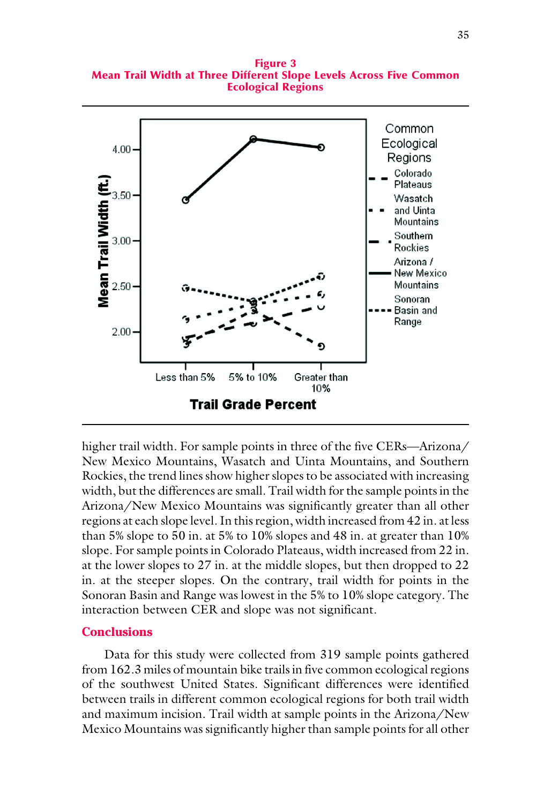Figure 3 Mean Trail Width at Three Different Slope Levels Across Five Common Ecological Regions



higher trail width. For sample points in three of the five CERs—Arizona/ New Mexico Mountains, Wasatch and Uinta Mountains, and Southern Rockies, the trend lines show higher slopes to be associated with increasing width, but the differences are small. Trail width for the sample points in the Arizona/New Mexico Mountains was significantly greater than all other regions at each slope level. In this region, width increased from 42 in. at less than 5% slope to 50 in. at 5% to 10% slopes and 48 in. at greater than 10% slope. For sample points in Colorado Plateaus, width increased from 22 in. at the lower slopes to 27 in. at the middle slopes, but then dropped to 22 in. at the steeper slopes. On the contrary, trail width for points in the Sonoran Basin and Range was lowest in the 5% to 10% slope category. The interaction between CER and slope was not significant.

#### **Conclusions**

Data for this study were collected from 319 sample points gathered from 162.3 miles of mountain bike trails in five common ecological regions of the southwest United States. Significant differences were identified between trails in different common ecological regions for both trail width and maximum incision. Trail width at sample points in the Arizona/New Mexico Mountains was significantly higher than sample points for all other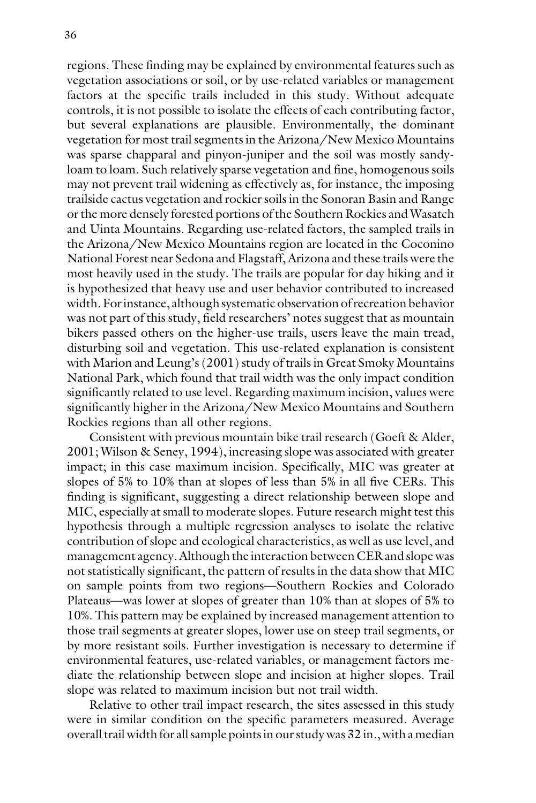regions. These finding may be explained by environmental features such as vegetation associations or soil, or by use-related variables or management factors at the specific trails included in this study. Without adequate controls, it is not possible to isolate the effects of each contributing factor, but several explanations are plausible. Environmentally, the dominant vegetation for most trail segments in the Arizona/New Mexico Mountains was sparse chapparal and pinyon-juniper and the soil was mostly sandyloam to loam. Such relatively sparse vegetation and fine, homogenous soils may not prevent trail widening as effectively as, for instance, the imposing trailside cactus vegetation and rockier soils in the Sonoran Basin and Range or the more densely forested portions of the Southern Rockies and Wasatch and Uinta Mountains. Regarding use-related factors, the sampled trails in the Arizona/New Mexico Mountains region are located in the Coconino National Forest near Sedona and Flagstaff, Arizona and these trails were the most heavily used in the study. The trails are popular for day hiking and it is hypothesized that heavy use and user behavior contributed to increased width. For instance, although systematic observation of recreation behavior was not part of this study, field researchers' notes suggest that as mountain bikers passed others on the higher-use trails, users leave the main tread, disturbing soil and vegetation. This use-related explanation is consistent with Marion and Leung's (2001) study of trails in Great Smoky Mountains National Park, which found that trail width was the only impact condition significantly related to use level. Regarding maximum incision, values were significantly higher in the Arizona/New Mexico Mountains and Southern Rockies regions than all other regions.

Consistent with previous mountain bike trail research (Goeft & Alder, 2001; Wilson & Seney, 1994), increasing slope was associated with greater impact; in this case maximum incision. Specifically, MIC was greater at slopes of 5% to 10% than at slopes of less than 5% in all five CERs. This finding is significant, suggesting a direct relationship between slope and MIC, especially at small to moderate slopes. Future research might test this hypothesis through a multiple regression analyses to isolate the relative contribution of slope and ecological characteristics, as well as use level, and management agency. Although the interaction between CER and slope was not statistically significant, the pattern of results in the data show that MIC on sample points from two regions—Southern Rockies and Colorado Plateaus—was lower at slopes of greater than 10% than at slopes of 5% to 10%. This pattern may be explained by increased management attention to those trail segments at greater slopes, lower use on steep trail segments, or by more resistant soils. Further investigation is necessary to determine if environmental features, use-related variables, or management factors mediate the relationship between slope and incision at higher slopes. Trail slope was related to maximum incision but not trail width.

Relative to other trail impact research, the sites assessed in this study were in similar condition on the specific parameters measured. Average overall trail width for all sample points in our study was 32 in., with a median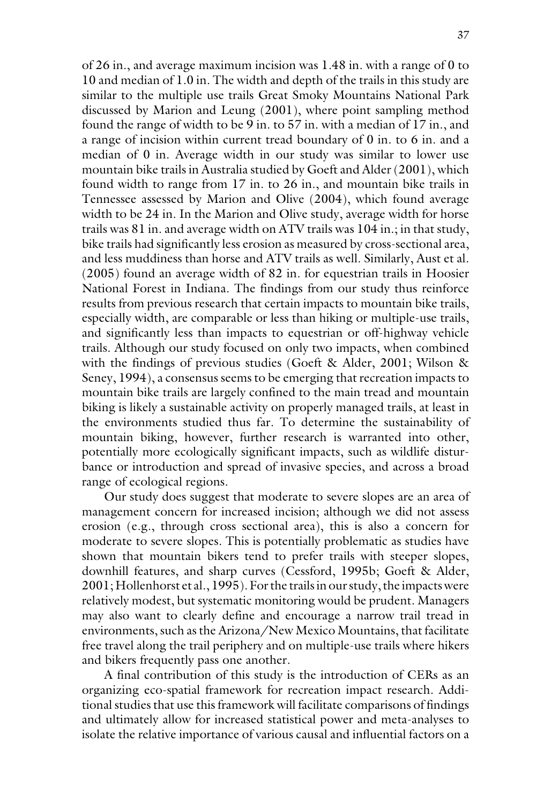of 26 in., and average maximum incision was 1.48 in. with a range of 0 to 10 and median of 1.0 in. The width and depth of the trails in this study are similar to the multiple use trails Great Smoky Mountains National Park discussed by Marion and Leung (2001), where point sampling method found the range of width to be 9 in. to 57 in. with a median of 17 in., and a range of incision within current tread boundary of 0 in. to 6 in. and a median of 0 in. Average width in our study was similar to lower use mountain bike trails in Australia studied by Goeft and Alder (2001), which found width to range from 17 in. to 26 in., and mountain bike trails in Tennessee assessed by Marion and Olive (2004), which found average width to be 24 in. In the Marion and Olive study, average width for horse trails was 81 in. and average width on ATV trails was 104 in.; in that study, bike trails had significantly less erosion as measured by cross-sectional area, and less muddiness than horse and ATV trails as well. Similarly, Aust et al. (2005) found an average width of 82 in. for equestrian trails in Hoosier National Forest in Indiana. The findings from our study thus reinforce results from previous research that certain impacts to mountain bike trails, especially width, are comparable or less than hiking or multiple-use trails, and significantly less than impacts to equestrian or off-highway vehicle trails. Although our study focused on only two impacts, when combined with the findings of previous studies (Goeft & Alder, 2001; Wilson & Seney, 1994), a consensus seems to be emerging that recreation impacts to mountain bike trails are largely confined to the main tread and mountain biking is likely a sustainable activity on properly managed trails, at least in the environments studied thus far. To determine the sustainability of mountain biking, however, further research is warranted into other, potentially more ecologically significant impacts, such as wildlife disturbance or introduction and spread of invasive species, and across a broad range of ecological regions.

Our study does suggest that moderate to severe slopes are an area of management concern for increased incision; although we did not assess erosion (e.g., through cross sectional area), this is also a concern for moderate to severe slopes. This is potentially problematic as studies have shown that mountain bikers tend to prefer trails with steeper slopes, downhill features, and sharp curves (Cessford, 1995b; Goeft & Alder, 2001; Hollenhorst et al., 1995). For the trails in our study, the impacts were relatively modest, but systematic monitoring would be prudent. Managers may also want to clearly define and encourage a narrow trail tread in environments, such as the Arizona/New Mexico Mountains, that facilitate free travel along the trail periphery and on multiple-use trails where hikers and bikers frequently pass one another.

A final contribution of this study is the introduction of CERs as an organizing eco-spatial framework for recreation impact research. Additional studies that use this framework will facilitate comparisons of findings and ultimately allow for increased statistical power and meta-analyses to isolate the relative importance of various causal and influential factors on a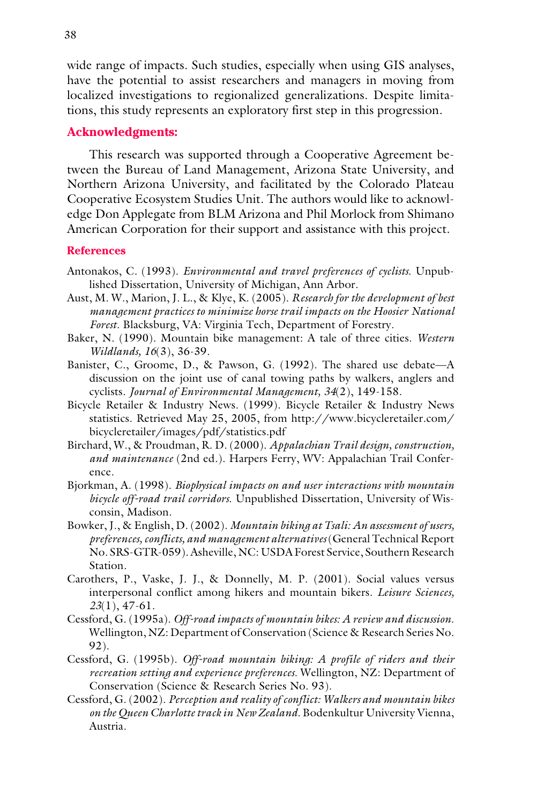wide range of impacts. Such studies, especially when using GIS analyses, have the potential to assist researchers and managers in moving from localized investigations to regionalized generalizations. Despite limitations, this study represents an exploratory first step in this progression.

## **Acknowledgments:**

This research was supported through a Cooperative Agreement between the Bureau of Land Management, Arizona State University, and Northern Arizona University, and facilitated by the Colorado Plateau Cooperative Ecosystem Studies Unit. The authors would like to acknowledge Don Applegate from BLM Arizona and Phil Morlock from Shimano American Corporation for their support and assistance with this project.

#### **References**

- Antonakos, C. (1993). *Environmental and travel preferences of cyclists*. Unpublished Dissertation, University of Michigan, Ann Arbor.
- Aust, M. W., Marion, J. L., & Klye, K. (2005). *Research for the development of best management practices to minimize horse trail impacts on the Hoosier National Forest.* Blacksburg, VA: Virginia Tech, Department of Forestry.
- Baker, N. (1990). Mountain bike management: A tale of three cities. *Western Wildlands, 16*(3), 36-39.
- Banister, C., Groome, D., & Pawson, G. (1992). The shared use debate—A discussion on the joint use of canal towing paths by walkers, anglers and cyclists. *Journal of Environmental Management, 34*(2), 149-158.
- Bicycle Retailer & Industry News. (1999). Bicycle Retailer & Industry News statistics. Retrieved May 25, 2005, from http://www.bicycleretailer.com/ bicycleretailer/images/pdf/statistics.pdf
- Birchard, W., & Proudman, R. D. (2000). *Appalachian Trail design, construction, and maintenance* (2nd ed.). Harpers Ferry, WV: Appalachian Trail Conference.
- Bjorkman, A. (1998). *Biophysical impacts on and user interactions with mountain bicycle off-road trail corridors*. Unpublished Dissertation, University of Wisconsin, Madison.
- Bowker, J., & English, D. (2002). *Mountain biking at Tsali: An assessment of users, preferences, conflicts, and management alternatives* (General Technical Report No. SRS-GTR-059). Asheville, NC: USDA Forest Service, Southern Research Station.
- Carothers, P., Vaske, J. J., & Donnelly, M. P. (2001). Social values versus interpersonal conflict among hikers and mountain bikers. *Leisure Sciences, 23*(1), 47-61.
- Cessford, G. (1995a). *Off-road impacts of mountain bikes: A review and discussion*. Wellington, NZ: Department of Conservation (Science & Research Series No. 92).
- Cessford, G. (1995b). *Off-road mountain biking: A profile of riders and their recreation setting and experience preferences*. Wellington, NZ: Department of Conservation (Science & Research Series No. 93).
- Cessford, G. (2002). *Perception and reality of conflict: Walkers and mountain bikes on the Queen Charlotte track in New Zealand*. Bodenkultur University Vienna, Austria.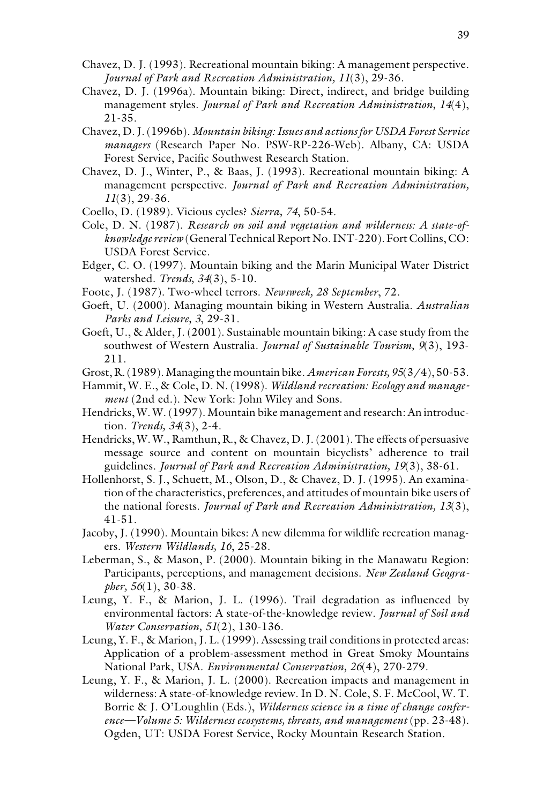- Chavez, D. J. (1993). Recreational mountain biking: A management perspective. *Journal of Park and Recreation Administration, 11*(3), 29-36.
- Chavez, D. J. (1996a). Mountain biking: Direct, indirect, and bridge building management styles. *Journal of Park and Recreation Administration, 14*(4), 21-35.
- Chavez, D. J. (1996b). *Mountain biking: Issues and actions for USDA Forest Service managers* (Research Paper No. PSW-RP-226-Web). Albany, CA: USDA Forest Service, Pacific Southwest Research Station.
- Chavez, D. J., Winter, P., & Baas, J. (1993). Recreational mountain biking: A management perspective. *Journal of Park and Recreation Administration, 11*(3), 29-36.
- Coello, D. (1989). Vicious cycles? *Sierra, 74*, 50-54.
- Cole, D. N. (1987). *Research on soil and vegetation and wilderness: A state-ofknowledge review*(General Technical Report No. INT-220). Fort Collins, CO: USDA Forest Service.
- Edger, C. O. (1997). Mountain biking and the Marin Municipal Water District watershed. *Trends, 34*(3), 5-10.
- Foote, J. (1987). Two-wheel terrors. *Newsweek, 28 September*, 72.
- Goeft, U. (2000). Managing mountain biking in Western Australia. *Australian Parks and Leisure, 3*, 29-31.
- Goeft, U., & Alder, J. (2001). Sustainable mountain biking: A case study from the southwest of Western Australia. *Journal of Sustainable Tourism, 9*(3), 193- 211.
- Grost, R. (1989). Managing the mountain bike. *American Forests, 95*(3/4), 50-53.
- Hammit, W. E., & Cole, D. N. (1998). *Wildland recreation: Ecology and management* (2nd ed.). New York: John Wiley and Sons.
- Hendricks, W. W. (1997). Mountain bike management and research: An introduction. *Trends, 34*(3), 2-4.
- Hendricks, W. W., Ramthun, R., & Chavez, D. J. (2001). The effects of persuasive message source and content on mountain bicyclists' adherence to trail guidelines. *Journal of Park and Recreation Administration, 19*(3), 38-61.
- Hollenhorst, S. J., Schuett, M., Olson, D., & Chavez, D. J. (1995). An examination of the characteristics, preferences, and attitudes of mountain bike users of the national forests. *Journal of Park and Recreation Administration, 13*(3), 41-51.
- Jacoby, J. (1990). Mountain bikes: A new dilemma for wildlife recreation managers. *Western Wildlands, 16*, 25-28.
- Leberman, S., & Mason, P. (2000). Mountain biking in the Manawatu Region: Participants, perceptions, and management decisions. *New Zealand Geographer, 56*(1), 30-38.
- Leung, Y. F., & Marion, J. L. (1996). Trail degradation as influenced by environmental factors: A state-of-the-knowledge review. *Journal of Soil and Water Conservation, 51*(2), 130-136.
- Leung, Y. F., & Marion, J. L. (1999). Assessing trail conditions in protected areas: Application of a problem-assessment method in Great Smoky Mountains National Park, USA. *Environmental Conservation, 26*(4), 270-279.
- Leung, Y. F., & Marion, J. L. (2000). Recreation impacts and management in wilderness: A state-of-knowledge review. In D. N. Cole, S. F. McCool, W. T. Borrie & J. O'Loughlin (Eds.), *Wilderness science in a time of change conference—Volume 5: Wilderness ecosystems, threats, and management* (pp. 23-48). Ogden, UT: USDA Forest Service, Rocky Mountain Research Station.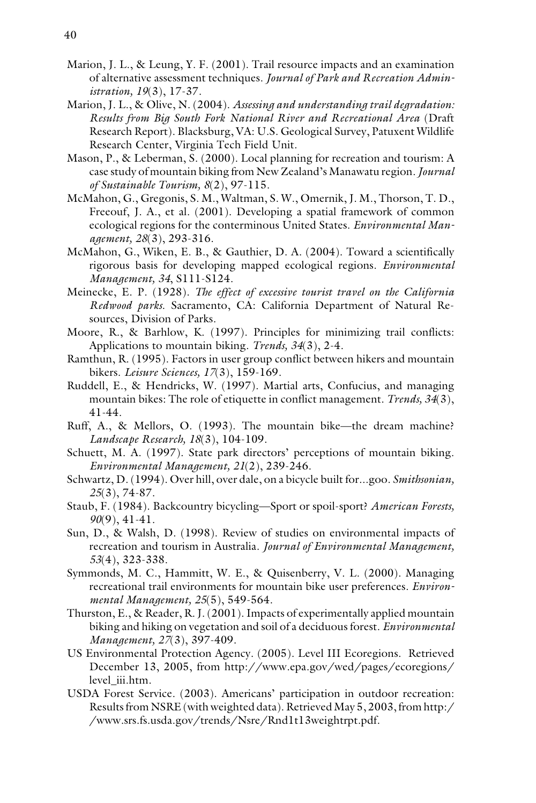- Marion, J. L., & Leung, Y. F. (2001). Trail resource impacts and an examination of alternative assessment techniques. *Journal of Park and Recreation Administration, 19*(3), 17-37.
- Marion, J. L., & Olive, N. (2004). *Assessing and understanding trail degradation: Results from Big South Fork National River and Recreational Area* (Draft Research Report). Blacksburg, VA: U.S. Geological Survey, Patuxent Wildlife Research Center, Virginia Tech Field Unit.
- Mason, P., & Leberman, S. (2000). Local planning for recreation and tourism: A case study of mountain biking from New Zealand's Manawatu region. *Journal of Sustainable Tourism, 8*(2), 97-115.
- McMahon, G., Gregonis, S. M., Waltman, S. W., Omernik, J. M., Thorson, T. D., Freeouf, J. A., et al. (2001). Developing a spatial framework of common ecological regions for the conterminous United States. *Environmental Management, 28*(3), 293-316.
- McMahon, G., Wiken, E. B., & Gauthier, D. A. (2004). Toward a scientifically rigorous basis for developing mapped ecological regions. *Environmental Management, 34*, S111-S124.
- Meinecke, E. P. (1928). *The effect of excessive tourist travel on the California Redwood parks*. Sacramento, CA: California Department of Natural Resources, Division of Parks.
- Moore, R., & Barhlow, K. (1997). Principles for minimizing trail conflicts: Applications to mountain biking. *Trends, 34*(3), 2-4.
- Ramthun, R. (1995). Factors in user group conflict between hikers and mountain bikers. *Leisure Sciences, 17*(3), 159-169.
- Ruddell, E., & Hendricks, W. (1997). Martial arts, Confucius, and managing mountain bikes: The role of etiquette in conflict management. *Trends, 34*(3), 41-44.
- Ruff, A., & Mellors, O. (1993). The mountain bike—the dream machine? *Landscape Research, 18*(3), 104-109.
- Schuett, M. A. (1997). State park directors' perceptions of mountain biking. *Environmental Management, 21*(2), 239-246.
- Schwartz, D. (1994). Over hill, over dale, on a bicycle built for...goo. *Smithsonian, 25*(3), 74-87.
- Staub, F. (1984). Backcountry bicycling—Sport or spoil-sport? *American Forests, 90*(9), 41-41.
- Sun, D., & Walsh, D. (1998). Review of studies on environmental impacts of recreation and tourism in Australia. *Journal of Environmental Management, 53*(4), 323-338.
- Symmonds, M. C., Hammitt, W. E., & Quisenberry, V. L. (2000). Managing recreational trail environments for mountain bike user preferences. *Environmental Management, 25*(5), 549-564.
- Thurston, E., & Reader, R. J. (2001). Impacts of experimentally applied mountain biking and hiking on vegetation and soil of a deciduous forest. *Environmental Management, 27*(3), 397-409.
- US Environmental Protection Agency. (2005). Level III Ecoregions. Retrieved December 13, 2005, from http://www.epa.gov/wed/pages/ecoregions/ level\_iii.htm.
- USDA Forest Service. (2003). Americans' participation in outdoor recreation: Results from NSRE (with weighted data). Retrieved May 5, 2003, from http:/ /www.srs.fs.usda.gov/trends/Nsre/Rnd1t13weightrpt.pdf.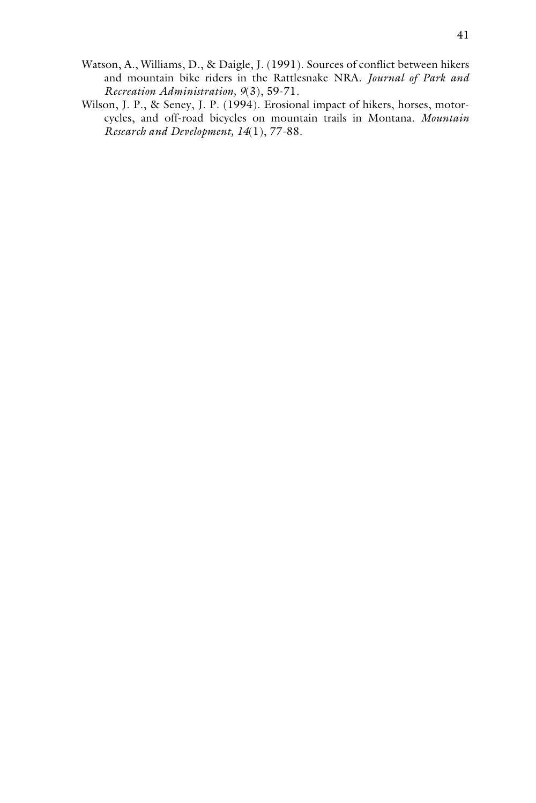- Watson, A., Williams, D., & Daigle, J. (1991). Sources of conflict between hikers and mountain bike riders in the Rattlesnake NRA. *Journal of Park and Recreation Administration, 9*(3), 59-71.
- Wilson, J. P., & Seney, J. P. (1994). Erosional impact of hikers, horses, motorcycles, and off-road bicycles on mountain trails in Montana. *Mountain Research and Development, 14*(1), 77-88.